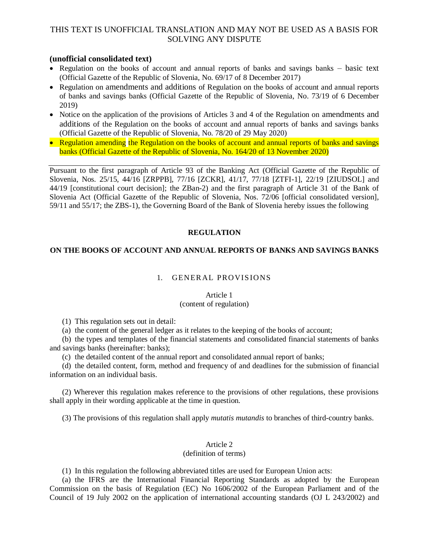## **(unofficial consolidated text)**

- Regulation on the books of account and annual reports of banks and savings banks basic text (Official Gazette of the Republic of Slovenia, No. 69/17 of 8 December 2017)
- Regulation on amendments and additions of Regulation on the books of account and annual reports of banks and savings banks (Official Gazette of the Republic of Slovenia, No. 73/19 of 6 December 2019)
- Notice on the application of the provisions of Articles 3 and 4 of the Regulation on amendments and additions of the Regulation on the books of account and annual reports of banks and savings banks (Official Gazette of the Republic of Slovenia, No. 78/20 of 29 May 2020)
- Regulation amending the Regulation on the books of account and annual reports of banks and savings banks (Official Gazette of the Republic of Slovenia, No. 164/20 of 13 November 2020)

Pursuant to the first paragraph of Article 93 of the Banking Act (Official Gazette of the Republic of Slovenia, Nos. 25/15, 44/16 [ZRPPB], 77/16 [ZCKR], 41/17, 77/18 [ZTFI-1], 22/19 [ZIUDSOL] and 44/19 [constitutional court decision]; the ZBan-2) and the first paragraph of Article 31 of the Bank of Slovenia Act (Official Gazette of the Republic of Slovenia, Nos. 72/06 [official consolidated version], 59/11 and 55/17; the ZBS-1), the Governing Board of the Bank of Slovenia hereby issues the following

## **REGULATION**

## **ON THE BOOKS OF ACCOUNT AND ANNUAL REPORTS OF BANKS AND SAVINGS BANKS**

## 1. GENERAL PROVISIONS

## Article 1

### (content of regulation)

(1) This regulation sets out in detail:

(a) the content of the general ledger as it relates to the keeping of the books of account;

(b) the types and templates of the financial statements and consolidated financial statements of banks and savings banks (hereinafter: banks);

(c) the detailed content of the annual report and consolidated annual report of banks;

(d) the detailed content, form, method and frequency of and deadlines for the submission of financial information on an individual basis.

(2) Wherever this regulation makes reference to the provisions of other regulations, these provisions shall apply in their wording applicable at the time in question.

(3) The provisions of this regulation shall apply *mutatis mutandis* to branches of third-country banks.

## Article 2

### (definition of terms)

(1) In this regulation the following abbreviated titles are used for European Union acts:

(a) the IFRS are the International Financial Reporting Standards as adopted by the European Commission on the basis of Regulation (EC) No 1606/2002 of the European Parliament and of the Council of 19 July 2002 on the application of international accounting standards (OJ L 243/2002) and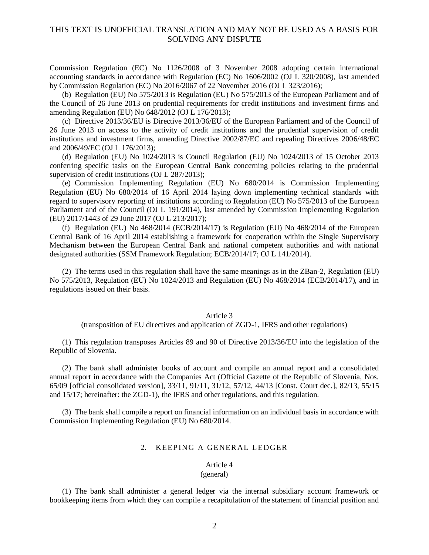Commission Regulation (EC) No 1126/2008 of 3 November 2008 adopting certain international accounting standards in accordance with Regulation (EC) No 1606/2002 (OJ L 320/2008), last amended by Commission Regulation (EC) No 2016/2067 of 22 November 2016 (OJ L 323/2016);

(b) Regulation (EU) No 575/2013 is Regulation (EU) No 575/2013 of the European Parliament and of the Council of 26 June 2013 on prudential requirements for credit institutions and investment firms and amending Regulation (EU) No 648/2012 (OJ L 176/2013);

(c) Directive 2013/36/EU is Directive 2013/36/EU of the European Parliament and of the Council of 26 June 2013 on access to the activity of credit institutions and the prudential supervision of credit institutions and investment firms, amending Directive 2002/87/EC and repealing Directives 2006/48/EC and 2006/49/EC (OJ L 176/2013);

(d) Regulation (EU) No 1024/2013 is Council Regulation (EU) No 1024/2013 of 15 October 2013 conferring specific tasks on the European Central Bank concerning policies relating to the prudential supervision of credit institutions (OJ L 287/2013);

(e) Commission Implementing Regulation (EU) No 680/2014 is Commission Implementing Regulation (EU) No 680/2014 of 16 April 2014 laying down implementing technical standards with regard to supervisory reporting of institutions according to Regulation (EU) No 575/2013 of the European Parliament and of the Council (OJ L 191/2014), last amended by Commission Implementing Regulation (EU) 2017/1443 of 29 June 2017 (OJ L 213/2017);

(f) Regulation (EU) No 468/2014 (ECB/2014/17) is Regulation (EU) No 468/2014 of the European Central Bank of 16 April 2014 establishing a framework for cooperation within the Single Supervisory Mechanism between the European Central Bank and national competent authorities and with national designated authorities (SSM Framework Regulation; ECB/2014/17; OJ L 141/2014).

(2) The terms used in this regulation shall have the same meanings as in the ZBan-2, Regulation (EU) No 575/2013, Regulation (EU) No 1024/2013 and Regulation (EU) No 468/2014 (ECB/2014/17), and in regulations issued on their basis.

#### Article 3

(transposition of EU directives and application of ZGD-1, IFRS and other regulations)

(1) This regulation transposes Articles 89 and 90 of Directive 2013/36/EU into the legislation of the Republic of Slovenia.

(2) The bank shall administer books of account and compile an annual report and a consolidated annual report in accordance with the Companies Act (Official Gazette of the Republic of Slovenia, Nos. 65/09 [official consolidated version], 33/11, 91/11, 31/12, 57/12, 44/13 [Const. Court dec.], 82/13, 55/15 and 15/17; hereinafter: the ZGD-1), the IFRS and other regulations, and this regulation.

(3) The bank shall compile a report on financial information on an individual basis in accordance with Commission Implementing Regulation (EU) No 680/2014.

## 2. KEEPING A GENERAL LEDGER

#### Article 4 (general)

(1) The bank shall administer a general ledger via the internal subsidiary account framework or bookkeeping items from which they can compile a recapitulation of the statement of financial position and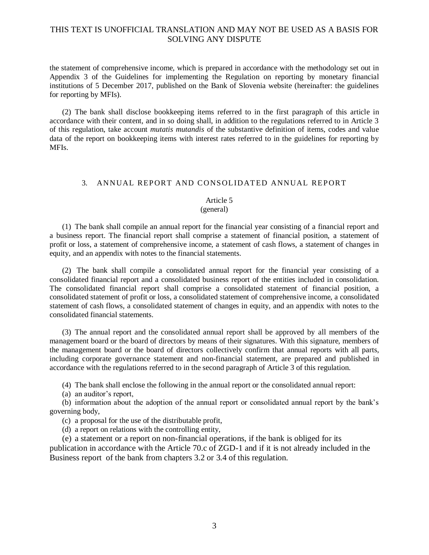the statement of comprehensive income, which is prepared in accordance with the methodology set out in Appendix 3 of the Guidelines for implementing the Regulation on reporting by monetary financial institutions of 5 December 2017, published on the Bank of Slovenia website (hereinafter: the guidelines for reporting by MFIs).

(2) The bank shall disclose bookkeeping items referred to in the first paragraph of this article in accordance with their content, and in so doing shall, in addition to the regulations referred to in Article 3 of this regulation, take account *mutatis mutandis* of the substantive definition of items, codes and value data of the report on bookkeeping items with interest rates referred to in the guidelines for reporting by MFIs.

### 3. ANNUAL REPORT AND CONSOLIDATED ANNUAL REPORT

### Article 5

#### (general)

(1) The bank shall compile an annual report for the financial year consisting of a financial report and a business report. The financial report shall comprise a statement of financial position, a statement of profit or loss, a statement of comprehensive income, a statement of cash flows, a statement of changes in equity, and an appendix with notes to the financial statements.

(2) The bank shall compile a consolidated annual report for the financial year consisting of a consolidated financial report and a consolidated business report of the entities included in consolidation. The consolidated financial report shall comprise a consolidated statement of financial position, a consolidated statement of profit or loss, a consolidated statement of comprehensive income, a consolidated statement of cash flows, a consolidated statement of changes in equity, and an appendix with notes to the consolidated financial statements.

(3) The annual report and the consolidated annual report shall be approved by all members of the management board or the board of directors by means of their signatures. With this signature, members of the management board or the board of directors collectively confirm that annual reports with all parts, including corporate governance statement and non-financial statement, are prepared and published in accordance with the regulations referred to in the second paragraph of Article 3 of this regulation.

(4) The bank shall enclose the following in the annual report or the consolidated annual report:

(a) an auditor's report,

(b) information about the adoption of the annual report or consolidated annual report by the bank's governing body,

(c) a proposal for the use of the distributable profit,

(d) a report on relations with the controlling entity,

(e) a statement or a report on non-financial operations, if the bank is obliged for its publication in accordance with the Article 70.c of ZGD-1 and if it is not already included in the Business report of the bank from chapters 3.2 or 3.4 of this regulation.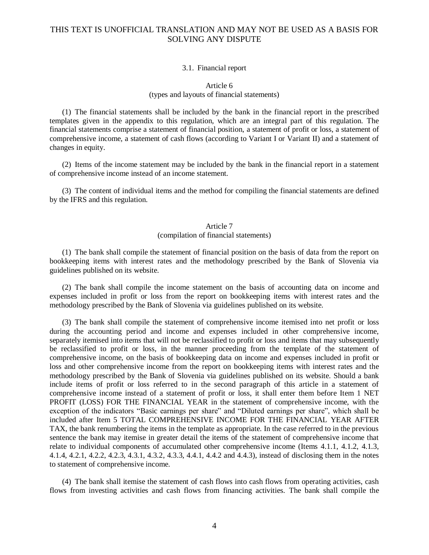#### 3.1. Financial report

## Article 6 (types and layouts of financial statements)

(1) The financial statements shall be included by the bank in the financial report in the prescribed templates given in the appendix to this regulation, which are an integral part of this regulation. The financial statements comprise a statement of financial position, a statement of profit or loss, a statement of comprehensive income, a statement of cash flows (according to Variant I or Variant II) and a statement of changes in equity.

(2) Items of the income statement may be included by the bank in the financial report in a statement of comprehensive income instead of an income statement.

(3) The content of individual items and the method for compiling the financial statements are defined by the IFRS and this regulation.

#### Article 7 (compilation of financial statements)

(1) The bank shall compile the statement of financial position on the basis of data from the report on bookkeeping items with interest rates and the methodology prescribed by the Bank of Slovenia via guidelines published on its website.

(2) The bank shall compile the income statement on the basis of accounting data on income and expenses included in profit or loss from the report on bookkeeping items with interest rates and the methodology prescribed by the Bank of Slovenia via guidelines published on its website.

(3) The bank shall compile the statement of comprehensive income itemised into net profit or loss during the accounting period and income and expenses included in other comprehensive income, separately itemised into items that will not be reclassified to profit or loss and items that may subsequently be reclassified to profit or loss, in the manner proceeding from the template of the statement of comprehensive income, on the basis of bookkeeping data on income and expenses included in profit or loss and other comprehensive income from the report on bookkeeping items with interest rates and the methodology prescribed by the Bank of Slovenia via guidelines published on its website. Should a bank include items of profit or loss referred to in the second paragraph of this article in a statement of comprehensive income instead of a statement of profit or loss, it shall enter them before Item 1 NET PROFIT (LOSS) FOR THE FINANCIAL YEAR in the statement of comprehensive income, with the exception of the indicators "Basic earnings per share" and "Diluted earnings per share", which shall be included after Item 5 TOTAL COMPREHENSIVE INCOME FOR THE FINANCIAL YEAR AFTER TAX, the bank renumbering the items in the template as appropriate. In the case referred to in the previous sentence the bank may itemise in greater detail the items of the statement of comprehensive income that relate to individual components of accumulated other comprehensive income (Items 4.1.1, 4.1.2, 4.1.3, 4.1.4, 4.2.1, 4.2.2, 4.2.3, 4.3.1, 4.3.2, 4.3.3, 4.4.1, 4.4.2 and 4.4.3), instead of disclosing them in the notes to statement of comprehensive income.

(4) The bank shall itemise the statement of cash flows into cash flows from operating activities, cash flows from investing activities and cash flows from financing activities. The bank shall compile the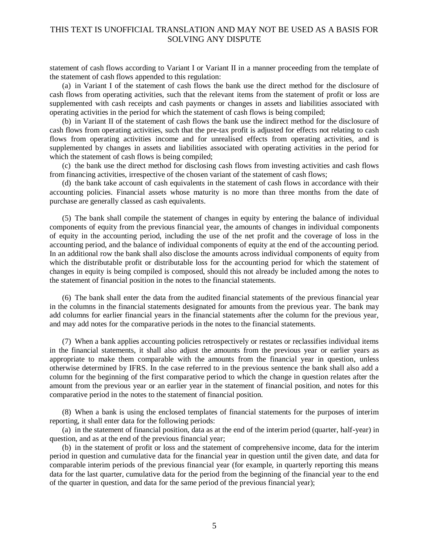statement of cash flows according to Variant I or Variant II in a manner proceeding from the template of the statement of cash flows appended to this regulation:

(a) in Variant I of the statement of cash flows the bank use the direct method for the disclosure of cash flows from operating activities, such that the relevant items from the statement of profit or loss are supplemented with cash receipts and cash payments or changes in assets and liabilities associated with operating activities in the period for which the statement of cash flows is being compiled;

(b) in Variant II of the statement of cash flows the bank use the indirect method for the disclosure of cash flows from operating activities, such that the pre-tax profit is adjusted for effects not relating to cash flows from operating activities income and for unrealised effects from operating activities, and is supplemented by changes in assets and liabilities associated with operating activities in the period for which the statement of cash flows is being compiled;

(c) the bank use the direct method for disclosing cash flows from investing activities and cash flows from financing activities, irrespective of the chosen variant of the statement of cash flows;

(d) the bank take account of cash equivalents in the statement of cash flows in accordance with their accounting policies. Financial assets whose maturity is no more than three months from the date of purchase are generally classed as cash equivalents.

(5) The bank shall compile the statement of changes in equity by entering the balance of individual components of equity from the previous financial year, the amounts of changes in individual components of equity in the accounting period, including the use of the net profit and the coverage of loss in the accounting period, and the balance of individual components of equity at the end of the accounting period. In an additional row the bank shall also disclose the amounts across individual components of equity from which the distributable profit or distributable loss for the accounting period for which the statement of changes in equity is being compiled is composed, should this not already be included among the notes to the statement of financial position in the notes to the financial statements.

(6) The bank shall enter the data from the audited financial statements of the previous financial year in the columns in the financial statements designated for amounts from the previous year. The bank may add columns for earlier financial years in the financial statements after the column for the previous year, and may add notes for the comparative periods in the notes to the financial statements.

(7) When a bank applies accounting policies retrospectively or restates or reclassifies individual items in the financial statements, it shall also adjust the amounts from the previous year or earlier years as appropriate to make them comparable with the amounts from the financial year in question, unless otherwise determined by IFRS. In the case referred to in the previous sentence the bank shall also add a column for the beginning of the first comparative period to which the change in question relates after the amount from the previous year or an earlier year in the statement of financial position, and notes for this comparative period in the notes to the statement of financial position.

(8) When a bank is using the enclosed templates of financial statements for the purposes of interim reporting, it shall enter data for the following periods:

(a) in the statement of financial position, data as at the end of the interim period (quarter, half-year) in question, and as at the end of the previous financial year;

(b) in the statement of profit or loss and the statement of comprehensive income, data for the interim period in question and cumulative data for the financial year in question until the given date, and data for comparable interim periods of the previous financial year (for example, in quarterly reporting this means data for the last quarter, cumulative data for the period from the beginning of the financial year to the end of the quarter in question, and data for the same period of the previous financial year);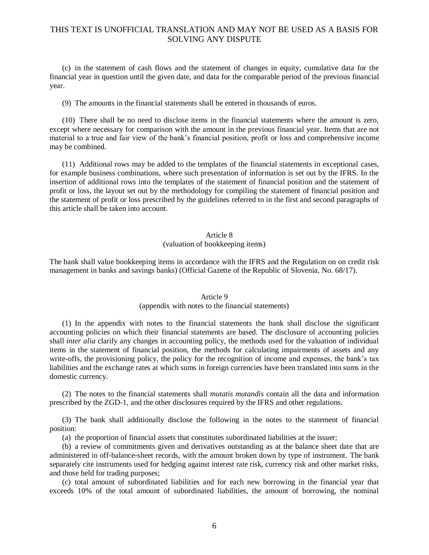(c) in the statement of cash flows and the statement of changes in equity, cumulative data for the financial year in question until the given date, and data for the comparable period of the previous financial year.

(9) The amounts in the financial statements shall be entered in thousands of euros.

(10) There shall be no need to disclose items in the financial statements where the amount is zero, except where necessary for comparison with the amount in the previous financial year. Items that are not material to a true and fair view of the bank's financial position, profit or loss and comprehensive income may be combined.

(11) Additional rows may be added to the templates of the financial statements in exceptional cases, for example business combinations, where such presentation of information is set out by the IFRS. In the insertion of additional rows into the templates of the statement of financial position and the statement of profit or loss, the layout set out by the methodology for compiling the statement of financial position and the statement of profit or loss prescribed by the guidelines referred to in the first and second paragraphs of this article shall be taken into account.

### Article 8

### (valuation of bookkeeping items)

The bank shall value bookkeeping items in accordance with the IFRS and the Regulation on on credit risk management in banks and savings banks) (Official Gazette of the Republic of Slovenia, No. 68/17).

#### Article 9

### (appendix with notes to the financial statements)

(1) In the appendix with notes to the financial statements the bank shall disclose the significant accounting policies on which their financial statements are based. The disclosure of accounting policies shall *inter alia* clarify any changes in accounting policy, the methods used for the valuation of individual items in the statement of financial position, the methods for calculating impairments of assets and any write-offs, the provisioning policy, the policy for the recognition of income and expenses, the bank's tax liabilities and the exchange rates at which sums in foreign currencies have been translated into sums in the domestic currency.

(2) The notes to the financial statements shall *mutatis mutandis* contain all the data and information prescribed by the ZGD-1, and the other disclosures required by the IFRS and other regulations.

(3) The bank shall additionally disclose the following in the notes to the statement of financial position:

(a) the proportion of financial assets that constitutes subordinated liabilities at the issuer;

(b) a review of commitments given and derivatives outstanding as at the balance sheet date that are administered in off-balance-sheet records, with the amount broken down by type of instrument. The bank separately cite instruments used for hedging against interest rate risk, currency risk and other market risks, and those held for trading purposes;

(c) total amount of subordinated liabilities and for each new borrowing in the financial year that exceeds 10% of the total amount of subordinated liabilities, the amount of borrowing, the nominal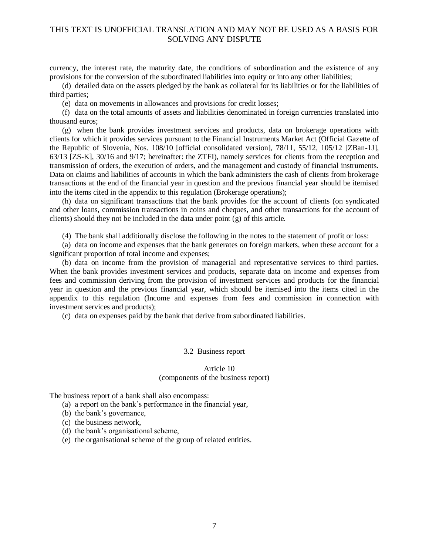currency, the interest rate, the maturity date, the conditions of subordination and the existence of any provisions for the conversion of the subordinated liabilities into equity or into any other liabilities;

(d) detailed data on the assets pledged by the bank as collateral for its liabilities or for the liabilities of third parties;

(e) data on movements in allowances and provisions for credit losses;

(f) data on the total amounts of assets and liabilities denominated in foreign currencies translated into thousand euros;

(g) when the bank provides investment services and products, data on brokerage operations with clients for which it provides services pursuant to the Financial Instruments Market Act (Official Gazette of the Republic of Slovenia, Nos. 108/10 [official consolidated version], 78/11, 55/12, 105/12 [ZBan-1J], 63/13 [ZS-K], 30/16 and 9/17; hereinafter: the ZTFI), namely services for clients from the reception and transmission of orders, the execution of orders, and the management and custody of financial instruments. Data on claims and liabilities of accounts in which the bank administers the cash of clients from brokerage transactions at the end of the financial year in question and the previous financial year should be itemised into the items cited in the appendix to this regulation (Brokerage operations);

(h) data on significant transactions that the bank provides for the account of clients (on syndicated and other loans, commission transactions in coins and cheques, and other transactions for the account of clients) should they not be included in the data under point (g) of this article.

(4) The bank shall additionally disclose the following in the notes to the statement of profit or loss:

(a) data on income and expenses that the bank generates on foreign markets, when these account for a significant proportion of total income and expenses;

(b) data on income from the provision of managerial and representative services to third parties. When the bank provides investment services and products, separate data on income and expenses from fees and commission deriving from the provision of investment services and products for the financial year in question and the previous financial year, which should be itemised into the items cited in the appendix to this regulation (Income and expenses from fees and commission in connection with investment services and products);

(c) data on expenses paid by the bank that derive from subordinated liabilities.

### 3.2 Business report

#### Article 10 (components of the business report)

The business report of a bank shall also encompass:

- (a) a report on the bank's performance in the financial year,
- (b) the bank's governance,
- (c) the business network,
- (d) the bank's organisational scheme,
- (e) the organisational scheme of the group of related entities.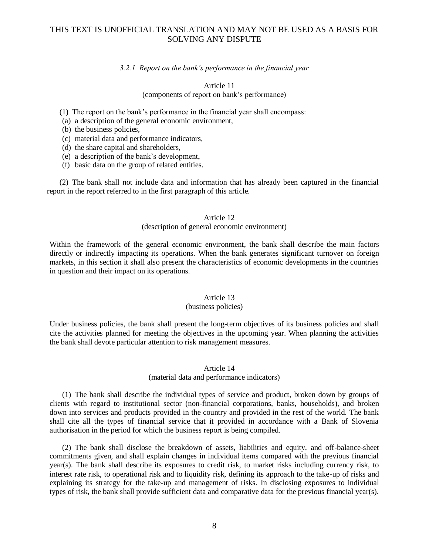### *3.2.1 Report on the bank's performance in the financial year*

### Article 11 (components of report on bank's performance)

- (1) The report on the bank's performance in the financial year shall encompass:
- (a) a description of the general economic environment,
- (b) the business policies,
- (c) material data and performance indicators,
- (d) the share capital and shareholders,
- (e) a description of the bank's development,
- (f) basic data on the group of related entities.

(2) The bank shall not include data and information that has already been captured in the financial report in the report referred to in the first paragraph of this article.

### Article 12

#### (description of general economic environment)

Within the framework of the general economic environment, the bank shall describe the main factors directly or indirectly impacting its operations. When the bank generates significant turnover on foreign markets, in this section it shall also present the characteristics of economic developments in the countries in question and their impact on its operations.

### Article 13

#### (business policies)

Under business policies, the bank shall present the long-term objectives of its business policies and shall cite the activities planned for meeting the objectives in the upcoming year. When planning the activities the bank shall devote particular attention to risk management measures.

### Article 14

### (material data and performance indicators)

(1) The bank shall describe the individual types of service and product, broken down by groups of clients with regard to institutional sector (non-financial corporations, banks, households), and broken down into services and products provided in the country and provided in the rest of the world. The bank shall cite all the types of financial service that it provided in accordance with a Bank of Slovenia authorisation in the period for which the business report is being compiled.

(2) The bank shall disclose the breakdown of assets, liabilities and equity, and off-balance-sheet commitments given, and shall explain changes in individual items compared with the previous financial year(s). The bank shall describe its exposures to credit risk, to market risks including currency risk, to interest rate risk, to operational risk and to liquidity risk, defining its approach to the take-up of risks and explaining its strategy for the take-up and management of risks. In disclosing exposures to individual types of risk, the bank shall provide sufficient data and comparative data for the previous financial year(s).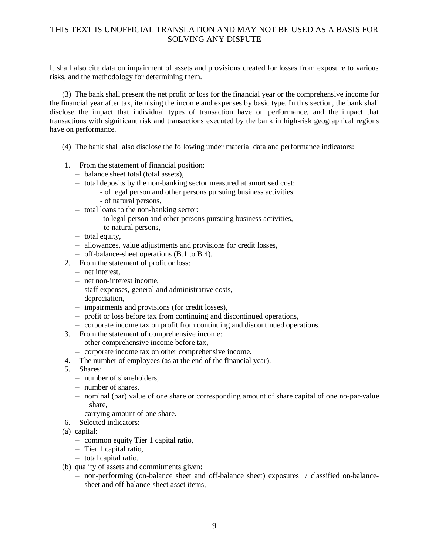It shall also cite data on impairment of assets and provisions created for losses from exposure to various risks, and the methodology for determining them.

(3) The bank shall present the net profit or loss for the financial year or the comprehensive income for the financial year after tax, itemising the income and expenses by basic type. In this section, the bank shall disclose the impact that individual types of transaction have on performance, and the impact that transactions with significant risk and transactions executed by the bank in high-risk geographical regions have on performance.

- (4) The bank shall also disclose the following under material data and performance indicators:
- 1. From the statement of financial position:
	- balance sheet total (total assets),
	- total deposits by the non-banking sector measured at amortised cost:
		- of legal person and other persons pursuing business activities,
		- of natural persons,
	- total loans to the non-banking sector:
		- to legal person and other persons pursuing business activities,
		- to natural persons,
	- total equity,
	- allowances, value adjustments and provisions for credit losses,
	- off-balance-sheet operations (B.1 to B.4).
- 2. From the statement of profit or loss:
	- net interest,
	- net non-interest income,
	- staff expenses, general and administrative costs,
	- depreciation,
	- impairments and provisions (for credit losses),
	- profit or loss before tax from continuing and discontinued operations,
	- corporate income tax on profit from continuing and discontinued operations.
- 3. From the statement of comprehensive income:
	- other comprehensive income before tax,
	- corporate income tax on other comprehensive income.
- 4. The number of employees (as at the end of the financial year).
- 5. Shares:
	- number of shareholders,
	- $=$  number of shares
	- nominal (par) value of one share or corresponding amount of share capital of one no-par-value share,
	- carrying amount of one share.
- 6. Selected indicators:
- (a) capital:
	- common equity Tier 1 capital ratio,
	- Tier 1 capital ratio,
	- total capital ratio.
- (b) quality of assets and commitments given:
	- non-performing (on-balance sheet and off-balance sheet) exposures / classified on-balancesheet and off-balance-sheet asset items,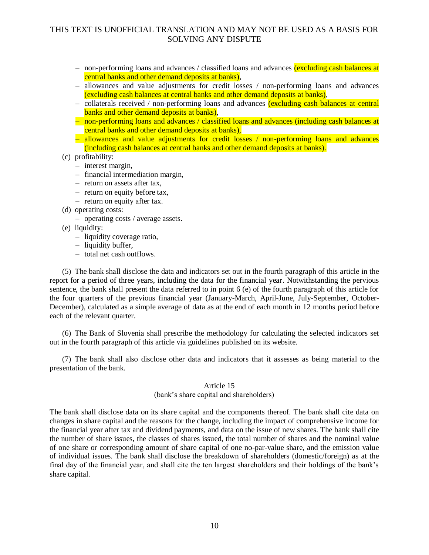- non-performing loans and advances / classified loans and advances (excluding cash balances at central banks and other demand deposits at banks),
- allowances and value adjustments for credit losses / non-performing loans and advances (excluding cash balances at central banks and other demand deposits at banks),
- collaterals received / non-performing loans and advances (excluding cash balances at central banks and other demand deposits at banks),
- non-performing loans and advances / classified loans and advances (including cash balances at central banks and other demand deposits at banks),
- allowances and value adjustments for credit losses / non-performing loans and advances (including cash balances at central banks and other demand deposits at banks).
- (c) profitability:
	- interest margin,
	- financial intermediation margin,
	- return on assets after tax,
	- return on equity before tax,
	- return on equity after tax.
- (d) operating costs:
	- operating costs / average assets.
- (e) liquidity:
	- liquidity coverage ratio,
	- liquidity buffer,
	- total net cash outflows.

(5) The bank shall disclose the data and indicators set out in the fourth paragraph of this article in the report for a period of three years, including the data for the financial year. Notwithstanding the pervious sentence, the bank shall present the data referred to in point 6 (e) of the fourth paragraph of this article for the four quarters of the previous financial year (January-March, April-June, July-September, October-December), calculated as a simple average of data as at the end of each month in 12 months period before each of the relevant quarter.

(6) The Bank of Slovenia shall prescribe the methodology for calculating the selected indicators set out in the fourth paragraph of this article via guidelines published on its website.

(7) The bank shall also disclose other data and indicators that it assesses as being material to the presentation of the bank.

### Article 15

### (bank's share capital and shareholders)

The bank shall disclose data on its share capital and the components thereof. The bank shall cite data on changes in share capital and the reasons for the change, including the impact of comprehensive income for the financial year after tax and dividend payments, and data on the issue of new shares. The bank shall cite the number of share issues, the classes of shares issued, the total number of shares and the nominal value of one share or corresponding amount of share capital of one no-par-value share, and the emission value of individual issues. The bank shall disclose the breakdown of shareholders (domestic/foreign) as at the final day of the financial year, and shall cite the ten largest shareholders and their holdings of the bank's share capital.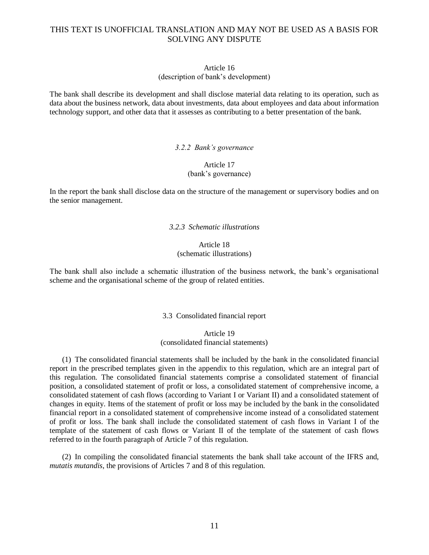### Article 16

### (description of bank's development)

The bank shall describe its development and shall disclose material data relating to its operation, such as data about the business network, data about investments, data about employees and data about information technology support, and other data that it assesses as contributing to a better presentation of the bank.

### *3.2.2 Bank's governance*

## Article 17

## (bank's governance)

In the report the bank shall disclose data on the structure of the management or supervisory bodies and on the senior management.

## *3.2.3 Schematic illustrations*

### Article 18 (schematic illustrations)

The bank shall also include a schematic illustration of the business network, the bank's organisational scheme and the organisational scheme of the group of related entities.

## 3.3 Consolidated financial report

## Article 19 (consolidated financial statements)

(1) The consolidated financial statements shall be included by the bank in the consolidated financial report in the prescribed templates given in the appendix to this regulation, which are an integral part of this regulation. The consolidated financial statements comprise a consolidated statement of financial position, a consolidated statement of profit or loss, a consolidated statement of comprehensive income, a consolidated statement of cash flows (according to Variant I or Variant II) and a consolidated statement of changes in equity. Items of the statement of profit or loss may be included by the bank in the consolidated financial report in a consolidated statement of comprehensive income instead of a consolidated statement of profit or loss. The bank shall include the consolidated statement of cash flows in Variant I of the template of the statement of cash flows or Variant II of the template of the statement of cash flows referred to in the fourth paragraph of Article 7 of this regulation.

(2) In compiling the consolidated financial statements the bank shall take account of the IFRS and, *mutatis mutandis*, the provisions of Articles 7 and 8 of this regulation.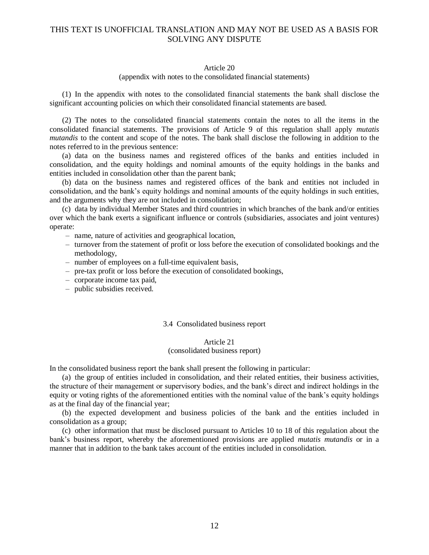#### Article 20

### (appendix with notes to the consolidated financial statements)

(1) In the appendix with notes to the consolidated financial statements the bank shall disclose the significant accounting policies on which their consolidated financial statements are based.

(2) The notes to the consolidated financial statements contain the notes to all the items in the consolidated financial statements. The provisions of Article 9 of this regulation shall apply *mutatis mutandis* to the content and scope of the notes. The bank shall disclose the following in addition to the notes referred to in the previous sentence:

(a) data on the business names and registered offices of the banks and entities included in consolidation, and the equity holdings and nominal amounts of the equity holdings in the banks and entities included in consolidation other than the parent bank;

(b) data on the business names and registered offices of the bank and entities not included in consolidation, and the bank's equity holdings and nominal amounts of the equity holdings in such entities, and the arguments why they are not included in consolidation;

(c) data by individual Member States and third countries in which branches of the bank and/or entities over which the bank exerts a significant influence or controls (subsidiaries, associates and joint ventures) operate:

- name, nature of activities and geographical location,
- turnover from the statement of profit or loss before the execution of consolidated bookings and the methodology,
- number of employees on a full-time equivalent basis,
- pre-tax profit or loss before the execution of consolidated bookings,
- corporate income tax paid,
- public subsidies received.

### 3.4 Consolidated business report

### Article 21 (consolidated business report)

In the consolidated business report the bank shall present the following in particular:

(a) the group of entities included in consolidation, and their related entities, their business activities, the structure of their management or supervisory bodies, and the bank's direct and indirect holdings in the equity or voting rights of the aforementioned entities with the nominal value of the bank's equity holdings as at the final day of the financial year;

(b) the expected development and business policies of the bank and the entities included in consolidation as a group;

(c) other information that must be disclosed pursuant to Articles 10 to 18 of this regulation about the bank's business report, whereby the aforementioned provisions are applied *mutatis mutandis* or in a manner that in addition to the bank takes account of the entities included in consolidation.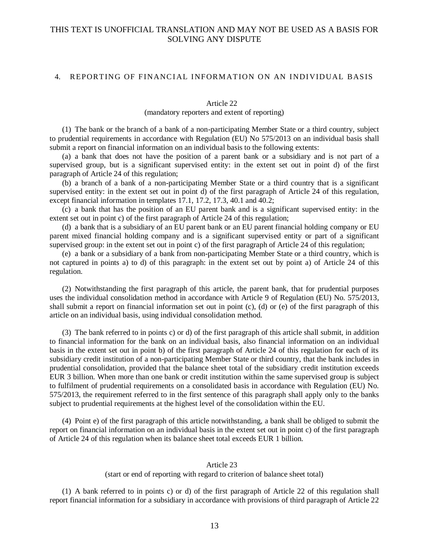## 4. REPORTING OF FINANCIAL INFORMATION ON AN INDIVIDUAL BASIS

#### Article 22

## (mandatory reporters and extent of reporting)

(1) The bank or the branch of a bank of a non-participating Member State or a third country, subject to prudential requirements in accordance with Regulation (EU) No 575/2013 on an individual basis shall submit a report on financial information on an individual basis to the following extents:

(a) a bank that does not have the position of a parent bank or a subsidiary and is not part of a supervised group, but is a significant supervised entity: in the extent set out in point d) of the first paragraph of Article 24 of this regulation;

(b) a branch of a bank of a non-participating Member State or a third country that is a significant supervised entity: in the extent set out in point d) of the first paragraph of Article 24 of this regulation, except financial information in templates 17.1, 17.2, 17.3, 40.1 and 40.2;

(c) a bank that has the position of an EU parent bank and is a significant supervised entity: in the extent set out in point c) of the first paragraph of Article 24 of this regulation;

(d) a bank that is a subsidiary of an EU parent bank or an EU parent financial holding company or EU parent mixed financial holding company and is a significant supervised entity or part of a significant supervised group: in the extent set out in point c) of the first paragraph of Article 24 of this regulation;

(e) a bank or a subsidiary of a bank from non-participating Member State or a third country, which is not captured in points a) to d) of this paragraph: in the extent set out by point a) of Article 24 of this regulation.

(2) Notwithstanding the first paragraph of this article, the parent bank, that for prudential purposes uses the individual consolidation method in accordance with Article 9 of Regulation (EU) No. 575/2013, shall submit a report on financial information set out in point (c), (d) or (e) of the first paragraph of this article on an individual basis, using individual consolidation method.

(3) The bank referred to in points c) or d) of the first paragraph of this article shall submit, in addition to financial information for the bank on an individual basis, also financial information on an individual basis in the extent set out in point b) of the first paragraph of Article 24 of this regulation for each of its subsidiary credit institution of a non-participating Member State or third country, that the bank includes in prudential consolidation, provided that the balance sheet total of the subsidiary credit institution exceeds EUR 3 billion. When more than one bank or credit institution within the same supervised group is subject to fulfilment of prudential requirements on a consolidated basis in accordance with Regulation (EU) No. 575/2013, the requirement referred to in the first sentence of this paragraph shall apply only to the banks subject to prudential requirements at the highest level of the consolidation within the EU.

(4) Point e) of the first paragraph of this article notwithstanding, a bank shall be obliged to submit the report on financial information on an individual basis in the extent set out in point c) of the first paragraph of Article 24 of this regulation when its balance sheet total exceeds EUR 1 billion.

### Article 23

### (start or end of reporting with regard to criterion of balance sheet total)

(1) A bank referred to in points c) or d) of the first paragraph of Article 22 of this regulation shall report financial information for a subsidiary in accordance with provisions of third paragraph of Article 22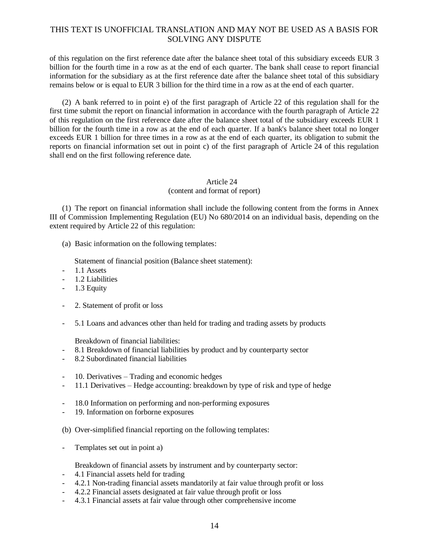of this regulation on the first reference date after the balance sheet total of this subsidiary exceeds EUR 3 billion for the fourth time in a row as at the end of each quarter. The bank shall cease to report financial information for the subsidiary as at the first reference date after the balance sheet total of this subsidiary remains below or is equal to EUR 3 billion for the third time in a row as at the end of each quarter.

(2) A bank referred to in point e) of the first paragraph of Article 22 of this regulation shall for the first time submit the report on financial information in accordance with the fourth paragraph of Article 22 of this regulation on the first reference date after the balance sheet total of the subsidiary exceeds EUR 1 billion for the fourth time in a row as at the end of each quarter. If a bank's balance sheet total no longer exceeds EUR 1 billion for three times in a row as at the end of each quarter, its obligation to submit the reports on financial information set out in point c) of the first paragraph of Article 24 of this regulation shall end on the first following reference date.

## Article 24

## (content and format of report)

(1) The report on financial information shall include the following content from the forms in Annex III of Commission Implementing Regulation (EU) No 680/2014 on an individual basis, depending on the extent required by Article 22 of this regulation:

(a) Basic information on the following templates:

Statement of financial position (Balance sheet statement):

- 1.1 Assets
- 1.2 Liabilities
- 1.3 Equity
- 2. Statement of profit or loss
- 5.1 Loans and advances other than held for trading and trading assets by products

Breakdown of financial liabilities:

- 8.1 Breakdown of financial liabilities by product and by counterparty sector
- 8.2 Subordinated financial liabilities
- 10. Derivatives Trading and economic hedges
- 11.1 Derivatives Hedge accounting: breakdown by type of risk and type of hedge
- 18.0 Information on performing and non-performing exposures
- 19. Information on forborne exposures
- (b) Over-simplified financial reporting on the following templates:
- Templates set out in point a)

Breakdown of financial assets by instrument and by counterparty sector:

- 4.1 Financial assets held for trading
- 4.2.1 Non-trading financial assets mandatorily at fair value through profit or loss
- 4.2.2 Financial assets designated at fair value through profit or loss
- 4.3.1 Financial assets at fair value through other comprehensive income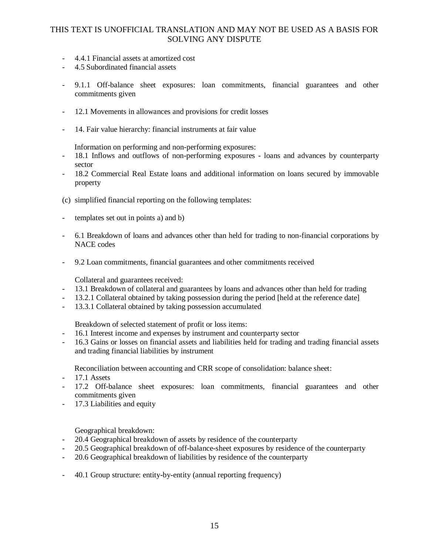- 4.4.1 Financial assets at amortized cost
- 4.5 Subordinated financial assets
- 9.1.1 Off-balance sheet exposures: loan commitments, financial guarantees and other commitments given
- 12.1 Movements in allowances and provisions for credit losses
- 14. Fair value hierarchy: financial instruments at fair value

Information on performing and non-performing exposures:

- 18.1 Inflows and outflows of non-performing exposures loans and advances by counterparty sector
- 18.2 Commercial Real Estate loans and additional information on loans secured by immovable property
- (c) simplified financial reporting on the following templates:
- templates set out in points a) and b)
- 6.1 Breakdown of loans and advances other than held for trading to non-financial corporations by NACE codes
- 9.2 Loan commitments, financial guarantees and other commitments received

Collateral and guarantees received:

- 13.1 Breakdown of collateral and guarantees by loans and advances other than held for trading
- 13.2.1 Collateral obtained by taking possession during the period [held at the reference date]
- 13.3.1 Collateral obtained by taking possession accumulated

Breakdown of selected statement of profit or loss items:

- 16.1 Interest income and expenses by instrument and counterparty sector
- 16.3 Gains or losses on financial assets and liabilities held for trading and trading financial assets and trading financial liabilities by instrument

Reconciliation between accounting and CRR scope of consolidation: balance sheet:

- 17.1 Assets
- 17.2 Off-balance sheet exposures: loan commitments, financial guarantees and other commitments given
- 17.3 Liabilities and equity

Geographical breakdown:

- 20.4 Geographical breakdown of assets by residence of the counterparty
- 20.5 Geographical breakdown of off-balance-sheet exposures by residence of the counterparty
- 20.6 Geographical breakdown of liabilities by residence of the counterparty
- 40.1 Group structure: entity-by-entity (annual reporting frequency)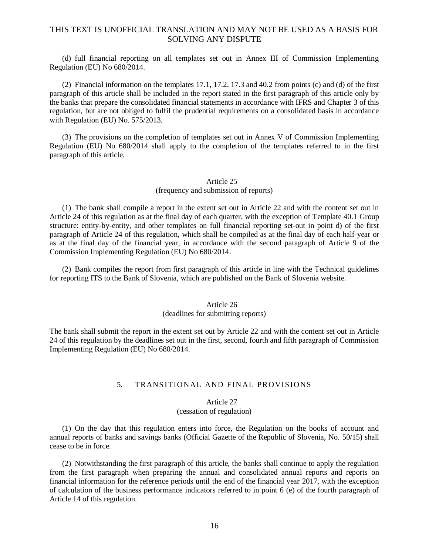(d) full financial reporting on all templates set out in Annex III of Commission Implementing Regulation (EU) No 680/2014.

(2) Financial information on the templates 17.1, 17.2, 17.3 and 40.2 from points (c) and (d) of the first paragraph of this article shall be included in the report stated in the first paragraph of this article only by the banks that prepare the consolidated financial statements in accordance with IFRS and Chapter 3 of this regulation, but are not obliged to fulfil the prudential requirements on a consolidated basis in accordance with Regulation (EU) No. 575/2013.

(3) The provisions on the completion of templates set out in Annex V of Commission Implementing Regulation (EU) No 680/2014 shall apply to the completion of the templates referred to in the first paragraph of this article.

## Article 25 (frequency and submission of reports)

(1) The bank shall compile a report in the extent set out in Article 22 and with the content set out in Article 24 of this regulation as at the final day of each quarter, with the exception of Template 40.1 Group structure: entity-by-entity, and other templates on full financial reporting set-out in point d) of the first paragraph of Article 24 of this regulation, which shall be compiled as at the final day of each half-year or as at the final day of the financial year, in accordance with the second paragraph of Article 9 of the Commission Implementing Regulation (EU) No 680/2014.

(2) Bank compiles the report from first paragraph of this article in line with the Technical guidelines for reporting ITS to the Bank of Slovenia, which are published on the Bank of Slovenia website.

## Article 26

### (deadlines for submitting reports)

The bank shall submit the report in the extent set out by Article 22 and with the content set out in Article 24 of this regulation by the deadlines set out in the first, second, fourth and fifth paragraph of Commission Implementing Regulation (EU) No 680/2014.

## 5. TRANSITIONAL AND FINAL PROVISIONS

### Article 27

### (cessation of regulation)

(1) On the day that this regulation enters into force, the Regulation on the books of account and annual reports of banks and savings banks (Official Gazette of the Republic of Slovenia, No. 50/15) shall cease to be in force.

(2) Notwithstanding the first paragraph of this article, the banks shall continue to apply the regulation from the first paragraph when preparing the annual and consolidated annual reports and reports on financial information for the reference periods until the end of the financial year 2017, with the exception of calculation of the business performance indicators referred to in point 6 (e) of the fourth paragraph of Article 14 of this regulation.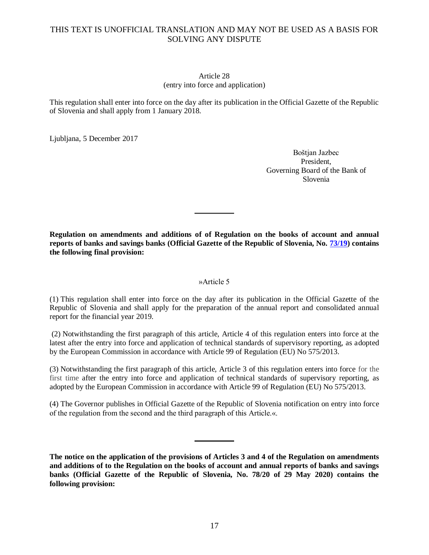### Article 28 (entry into force and application)

This regulation shall enter into force on the day after its publication in the Official Gazette of the Republic of Slovenia and shall apply from 1 January 2018.

Ljubljana, 5 December 2017

Boštjan Jazbec President, Governing Board of the Bank of Slovenia

**Regulation on amendments and additions of of Regulation on the books of account and annual reports of banks and savings banks (Official Gazette of the Republic of Slovenia, No. [73/19\)](https://www.uradni-list.si/1/objava.jsp?sop=2019-01-3234) contains the following final provision:**

## »Article 5

(1) This regulation shall enter into force on the day after its publication in the Official Gazette of the Republic of Slovenia and shall apply for the preparation of the annual report and consolidated annual report for the financial year 2019.

(2) Notwithstanding the first paragraph of this article, Article 4 of this regulation enters into force at the latest after the entry into force and application of technical standards of supervisory reporting, as adopted by the European Commission in accordance with Article 99 of Regulation (EU) No 575/2013.

(3) Notwithstanding the first paragraph of this article, Article 3 of this regulation enters into force for the first time after the entry into force and application of technical standards of supervisory reporting, as adopted by the European Commission in accordance with Article 99 of Regulation (EU) No 575/2013.

(4) The Governor publishes in Official Gazette of the Republic of Slovenia notification on entry into force of the regulation from the second and the third paragraph of this Article.«.

**The notice on the application of the provisions of Articles 3 and 4 of the Regulation on amendments and additions of to the Regulation on the books of account and annual reports of banks and savings banks (Official Gazette of the Republic of Slovenia, No. 78/20 of 29 May 2020) contains the following provision:**